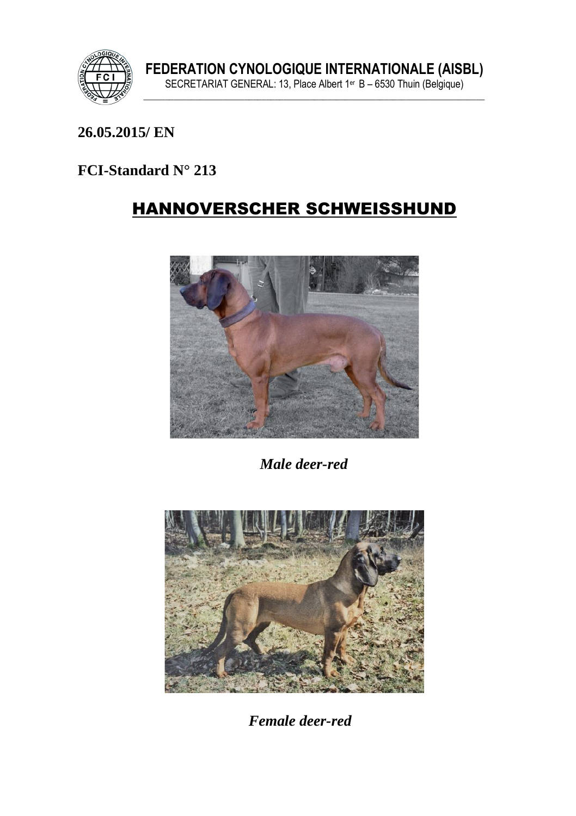

## **26.05.2015/ EN**

## **FCI-Standard N° 213**

# HANNOVERSCHER SCHWEISSHUND



 *Male deer-red*



 *Female deer-red*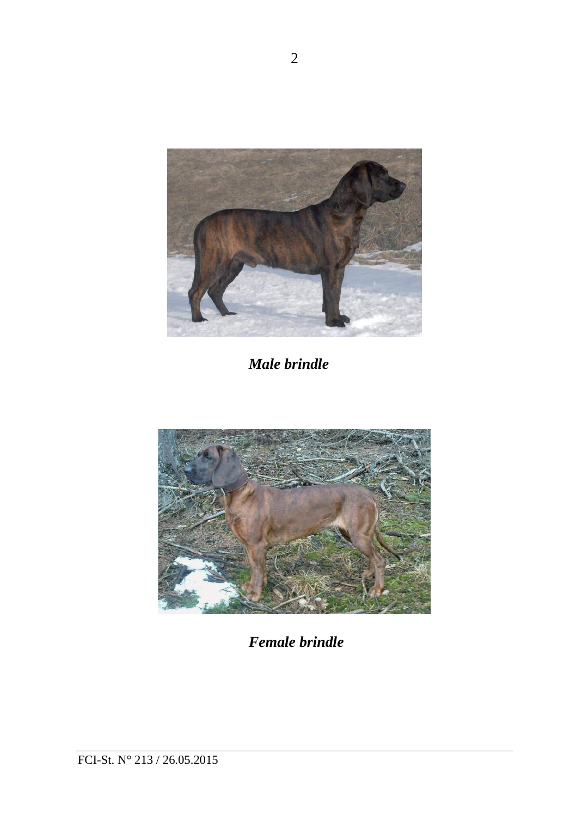

 *Male brindle*



 *Female brindle*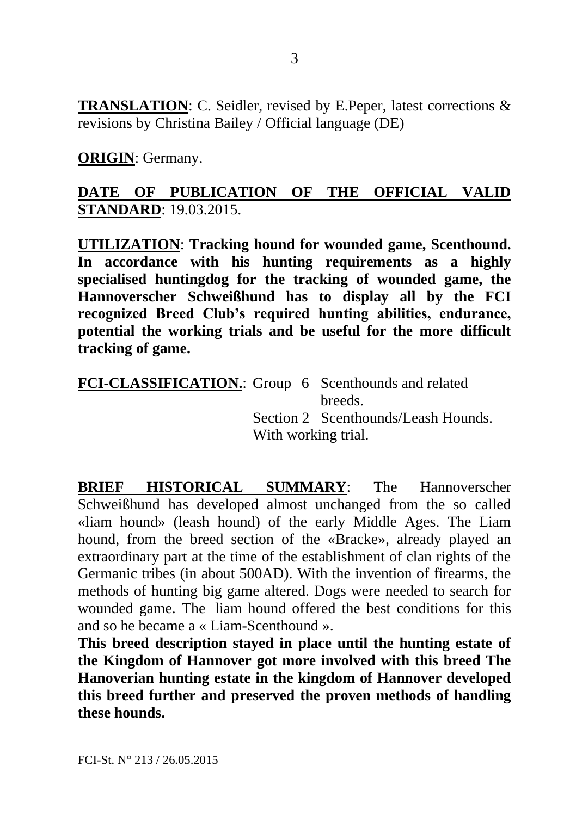**TRANSLATION**: C. Seidler, revised by E.Peper, latest corrections & revisions by Christina Bailey / Official language (DE)

**ORIGIN**: Germany.

## **DATE OF PUBLICATION OF THE OFFICIAL VALID STANDARD**: 19.03.2015.

**UTILIZATION**: **Tracking hound for wounded game, Scenthound. In accordance with his hunting requirements as a highly specialised huntingdog for the tracking of wounded game, the Hannoverscher Schweißhund has to display all by the FCI recognized Breed Club's required hunting abilities, endurance, potential the working trials and be useful for the more difficult tracking of game.** 

**FCI-CLASSIFICATION.**: Group 6 Scenthounds and related breeds. Section 2 Scenthounds/Leash Hounds. With working trial.

**BRIEF HISTORICAL SUMMARY**: The Hannoverscher Schweißhund has developed almost unchanged from the so called «liam hound» (leash hound) of the early Middle Ages. The Liam hound, from the breed section of the «Bracke», already played an extraordinary part at the time of the establishment of clan rights of the Germanic tribes (in about 500AD). With the invention of firearms, the methods of hunting big game altered. Dogs were needed to search for wounded game. The liam hound offered the best conditions for this and so he became a « Liam-Scenthound ».

**This breed description stayed in place until the hunting estate of the Kingdom of Hannover got more involved with this breed The Hanoverian hunting estate in the kingdom of Hannover developed this breed further and preserved the proven methods of handling these hounds.**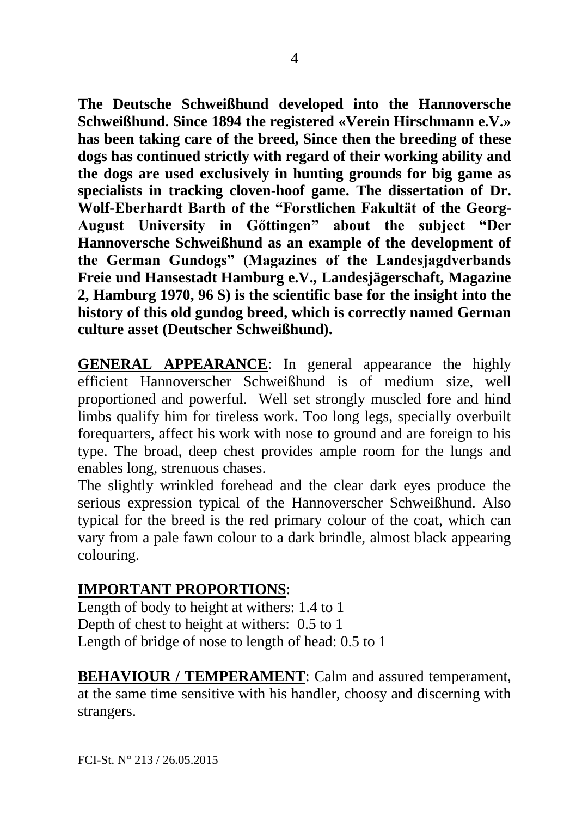**The Deutsche Schweißhund developed into the Hannoversche Schweißhund. Since 1894 the registered «Verein Hirschmann e.V.» has been taking care of the breed, Since then the breeding of these dogs has continued strictly with regard of their working ability and the dogs are used exclusively in hunting grounds for big game as specialists in tracking cloven-hoof game. The dissertation of Dr. Wolf-Eberhardt Barth of the "Forstlichen Fakultät of the Georg-August University in Gőttingen" about the subject "Der Hannoversche Schweißhund as an example of the development of the German Gundogs" (Magazines of the Landesjagdverbands Freie und Hansestadt Hamburg e.V., Landesjägerschaft, Magazine 2, Hamburg 1970, 96 S) is the scientific base for the insight into the history of this old gundog breed, which is correctly named German culture asset (Deutscher Schweißhund).** 

**GENERAL APPEARANCE**: In general appearance the highly efficient Hannoverscher Schweißhund is of medium size, well proportioned and powerful. Well set strongly muscled fore and hind limbs qualify him for tireless work. Too long legs, specially overbuilt forequarters, affect his work with nose to ground and are foreign to his type. The broad, deep chest provides ample room for the lungs and enables long, strenuous chases.

The slightly wrinkled forehead and the clear dark eyes produce the serious expression typical of the Hannoverscher Schweißhund. Also typical for the breed is the red primary colour of the coat, which can vary from a pale fawn colour to a dark brindle, almost black appearing colouring.

## **IMPORTANT PROPORTIONS**:

Length of body to height at withers: 1.4 to 1 Depth of chest to height at withers: 0.5 to 1 Length of bridge of nose to length of head: 0.5 to 1

**BEHAVIOUR / TEMPERAMENT:** Calm and assured temperament, at the same time sensitive with his handler, choosy and discerning with strangers.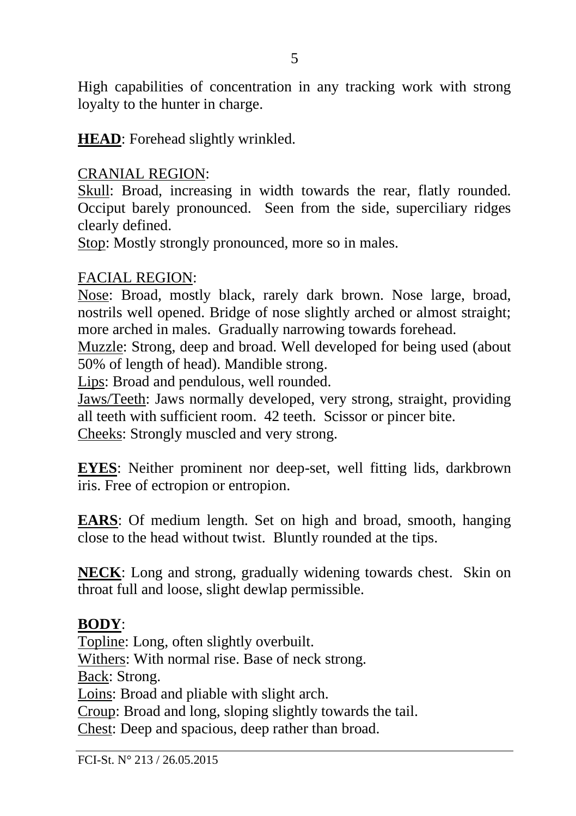High capabilities of concentration in any tracking work with strong loyalty to the hunter in charge.

**HEAD**: Forehead slightly wrinkled.

### CRANIAL REGION:

Skull: Broad, increasing in width towards the rear, flatly rounded. Occiput barely pronounced. Seen from the side, superciliary ridges clearly defined.

Stop: Mostly strongly pronounced, more so in males.

### FACIAL REGION:

Nose: Broad, mostly black, rarely dark brown. Nose large, broad, nostrils well opened. Bridge of nose slightly arched or almost straight; more arched in males. Gradually narrowing towards forehead.

Muzzle: Strong, deep and broad. Well developed for being used (about 50% of length of head). Mandible strong.

Lips: Broad and pendulous, well rounded.

Jaws/Teeth: Jaws normally developed, very strong, straight, providing all teeth with sufficient room. 42 teeth. Scissor or pincer bite. Cheeks: Strongly muscled and very strong.

**EYES**: Neither prominent nor deep-set, well fitting lids, darkbrown iris. Free of ectropion or entropion.

**EARS**: Of medium length. Set on high and broad, smooth, hanging close to the head without twist. Bluntly rounded at the tips.

**NECK**: Long and strong, gradually widening towards chest. Skin on throat full and loose, slight dewlap permissible.

### **BODY**:

Topline: Long, often slightly overbuilt. Withers: With normal rise. Base of neck strong. Back: Strong. Loins: Broad and pliable with slight arch. Croup: Broad and long, sloping slightly towards the tail. Chest: Deep and spacious, deep rather than broad.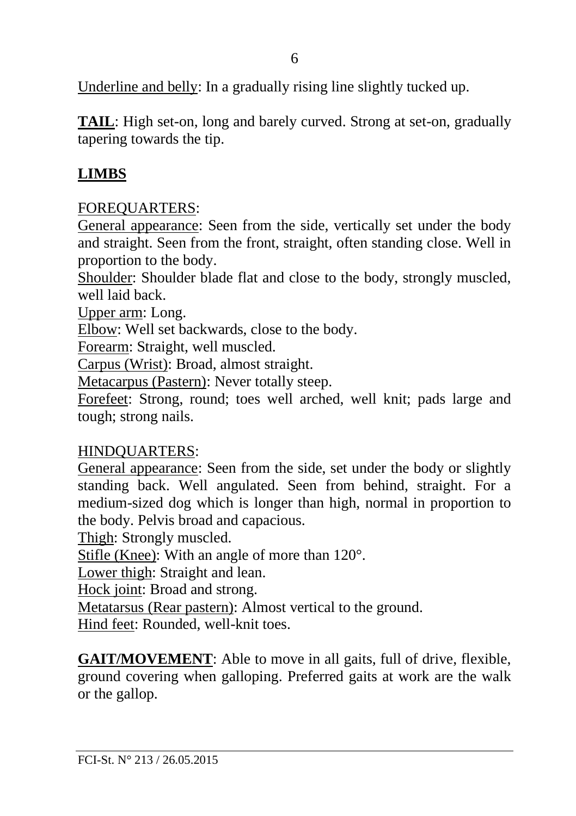Underline and belly: In a gradually rising line slightly tucked up.

**TAIL**: High set-on, long and barely curved. Strong at set-on, gradually tapering towards the tip.

## **LIMBS**

## FOREQUARTERS:

General appearance: Seen from the side, vertically set under the body and straight. Seen from the front, straight, often standing close. Well in proportion to the body.

Shoulder: Shoulder blade flat and close to the body, strongly muscled, well laid back.

Upper arm: Long.

Elbow: Well set backwards, close to the body.

Forearm: Straight, well muscled.

Carpus (Wrist): Broad, almost straight.

Metacarpus (Pastern): Never totally steep.

Forefeet: Strong, round; toes well arched, well knit; pads large and tough; strong nails.

## HINDQUARTERS:

General appearance: Seen from the side, set under the body or slightly standing back. Well angulated. Seen from behind, straight. For a medium-sized dog which is longer than high, normal in proportion to the body. Pelvis broad and capacious.

Thigh: Strongly muscled.

Stifle (Knee): With an angle of more than 120°.

Lower thigh: Straight and lean.

Hock joint: Broad and strong.

Metatarsus (Rear pastern): Almost vertical to the ground.

Hind feet: Rounded, well-knit toes.

**GAIT/MOVEMENT**: Able to move in all gaits, full of drive, flexible, ground covering when galloping. Preferred gaits at work are the walk or the gallop.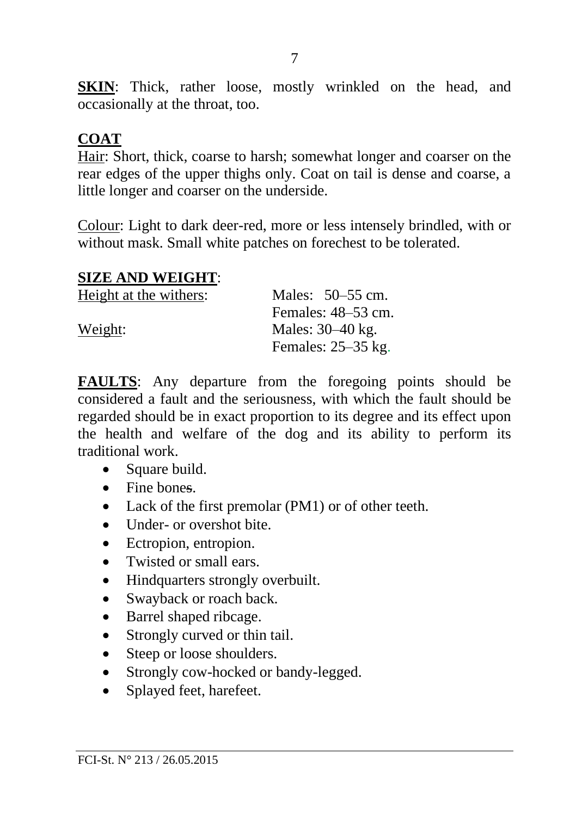**SKIN**: Thick, rather loose, mostly wrinkled on the head, and occasionally at the throat, too.

### **COAT**

Hair: Short, thick, coarse to harsh; somewhat longer and coarser on the rear edges of the upper thighs only. Coat on tail is dense and coarse, a little longer and coarser on the underside.

Colour: Light to dark deer-red, more or less intensely brindled, with or without mask. Small white patches on forechest to be tolerated.

#### **SIZE AND WEIGHT**:

| Height at the withers: | Males: $50-55$ cm.   |
|------------------------|----------------------|
|                        | Females: $48-53$ cm. |
| Weight:                | Males: $30-40$ kg.   |
|                        | Females: $25-35$ kg. |

**FAULTS**: Any departure from the foregoing points should be considered a fault and the seriousness, with which the fault should be regarded should be in exact proportion to its degree and its effect upon the health and welfare of the dog and its ability to perform its traditional work.

- Square build.
- Fine bones.
- Lack of the first premolar (PM1) or of other teeth.
- Under- or overshot bite.
- Ectropion, entropion.
- Twisted or small ears.
- Hindquarters strongly overbuilt.
- Swayback or roach back.
- Barrel shaped ribcage.
- Strongly curved or thin tail.
- Steep or loose shoulders.
- Strongly cow-hocked or bandy-legged.
- Splayed feet, harefeet.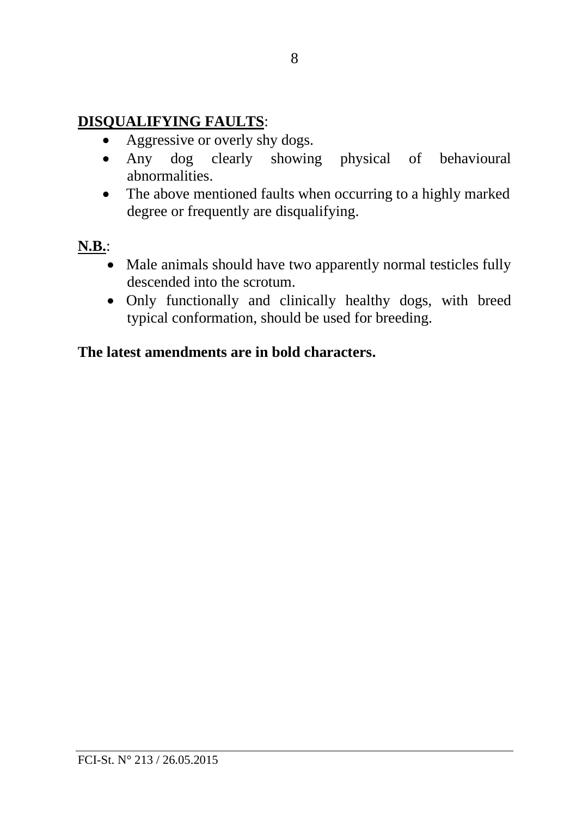## **DISQUALIFYING FAULTS**:

- Aggressive or overly shy dogs.
- Any dog clearly showing physical of behavioural abnormalities.
- The above mentioned faults when occurring to a highly marked degree or frequently are disqualifying.

## **N.B.**:

- Male animals should have two apparently normal testicles fully descended into the scrotum.
- Only functionally and clinically healthy dogs, with breed typical conformation, should be used for breeding.

## **The latest amendments are in bold characters.**